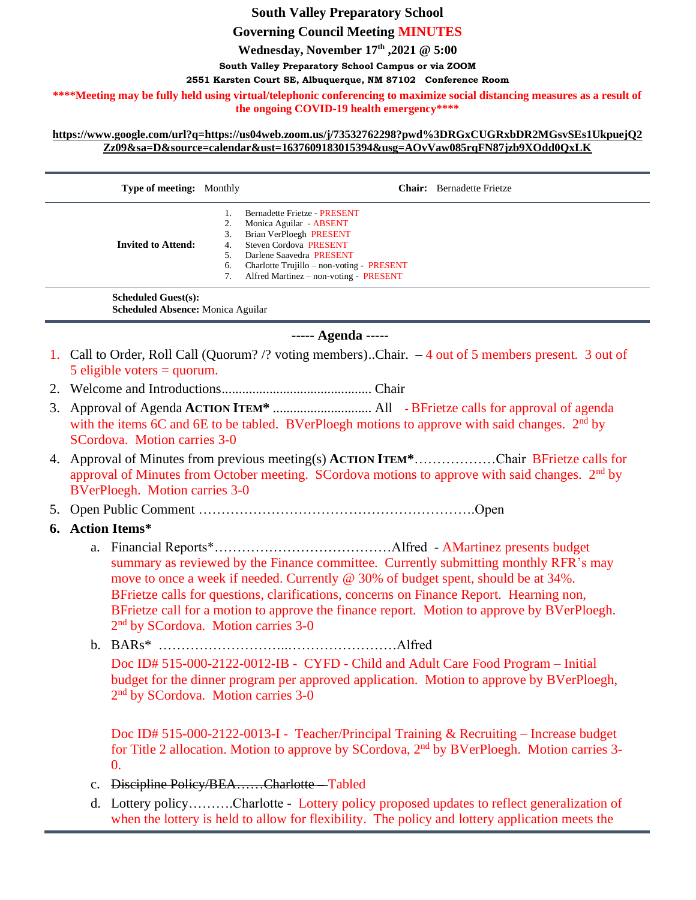# **South Valley Preparatory School**

**Governing Council Meeting MINUTES**

**Wednesday, November 17 th ,2021 @ 5:00**

**South Valley Preparatory School Campus or via ZOOM**

**2551 Karsten Court SE, Albuquerque, NM 87102 Conference Room**

**\*\*\*\*Meeting may be fully held using virtual/telephonic conferencing to maximize social distancing measures as a result of the ongoing COVID-19 health emergency\*\*\*\***

### **[https://www.google.com/url?q=https://us04web.zoom.us/j/73532762298?pwd%3DRGxCUGRxbDR2MGsvSEs1UkpuejQ2](https://www.google.com/url?q=https://us04web.zoom.us/j/73532762298?pwd%3DRGxCUGRxbDR2MGsvSEs1UkpuejQ2Zz09&sa=D&source=calendar&ust=1637609183015394&usg=AOvVaw085rqFN87jzb9XOdd0QxLK) [Zz09&sa=D&source=calendar&ust=1637609183015394&usg=AOvVaw085rqFN87jzb9XOdd0QxLK](https://www.google.com/url?q=https://us04web.zoom.us/j/73532762298?pwd%3DRGxCUGRxbDR2MGsvSEs1UkpuejQ2Zz09&sa=D&source=calendar&ust=1637609183015394&usg=AOvVaw085rqFN87jzb9XOdd0QxLK)**

| <b>Type of meeting:</b> Monthly |    | <b>Chair:</b> Bernadette Frietze          |
|---------------------------------|----|-------------------------------------------|
|                                 |    | Bernadette Frietze - PRESENT              |
|                                 | 2. | Monica Aguilar - ABSENT                   |
|                                 | 3. | Brian VerPloegh PRESENT                   |
| <b>Invited to Attend:</b>       | 4. | Steven Cordova PRESENT                    |
|                                 |    | Darlene Saavedra PRESENT                  |
|                                 | 6. | Charlotte Trujillo – non-voting - PRESENT |
|                                 |    | Alfred Martinez - non-voting - PRESENT    |
| <b>Scheduled Guest(s):</b>      |    |                                           |

**Scheduled Absence:** Monica Aguilar

## **----- Agenda -----**

- 1. Call to Order, Roll Call (Quorum? /? voting members)..Chair. 4 out of 5 members present. 3 out of  $5$  eligible voters = quorum.
- 2. Welcome and Introductions............................................ Chair
- 3. Approval of Agenda **ACTION ITEM\*** ............................. All BFrietze calls for approval of agenda with the items 6C and 6E to be tabled. BVerPloegh motions to approve with said changes.  $2<sup>nd</sup>$  by SCordova. Motion carries 3-0
- 4. Approval of Minutes from previous meeting(s) **ACTION ITEM\***………………Chair BFrietze calls for approval of Minutes from October meeting. SCordova motions to approve with said changes. 2<sup>nd</sup> by BVerPloegh. Motion carries 3-0
- 5. Open Public Comment …………………………………………………….Open
- **6. Action Items\***
	- a. Financial Reports\*…………………………………Alfred AMartinez presents budget summary as reviewed by the Finance committee. Currently submitting monthly RFR's may move to once a week if needed. Currently @ 30% of budget spent, should be at 34%. BFrietze calls for questions, clarifications, concerns on Finance Report. Hearning non, BFrietze call for a motion to approve the finance report. Motion to approve by BVerPloegh. 2<sup>nd</sup> by SCordova. Motion carries 3-0
	- b. BARs\* ………………………..……………………Alfred Doc ID# 515-000-2122-0012-IB - CYFD - Child and Adult Care Food Program – Initial budget for the dinner program per approved application. Motion to approve by BVerPloegh, 2<sup>nd</sup> by SCordova. Motion carries 3-0

Doc ID# 515-000-2122-0013-I - Teacher/Principal Training & Recruiting – Increase budget for Title 2 allocation. Motion to approve by SCordova, 2<sup>nd</sup> by BVerPloegh. Motion carries 3- $\Omega$ .

- c. Discipline Policy/BEA……Charlotte Tabled
- d. Lottery policy……….Charlotte Lottery policy proposed updates to reflect generalization of when the lottery is held to allow for flexibility. The policy and lottery application meets the